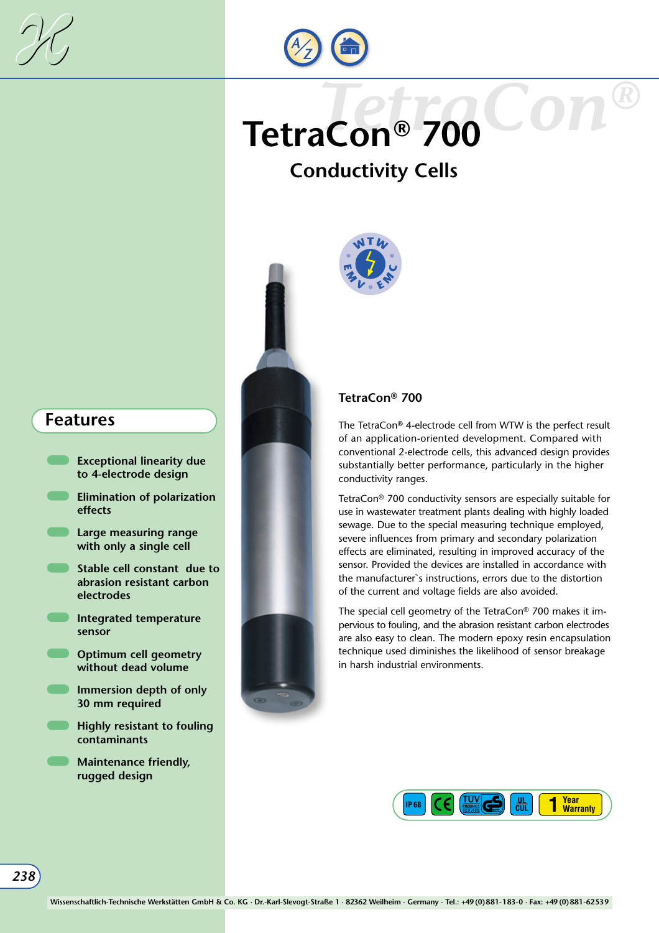



# *TetraCon®* **TetraCon® 700**

## **Conductivity Cells**



- **Exceptional linearity due to 4-electrode design**
- **Elimination of polarization effects**
- **Large measuring range with only a single cell**
- **Stable cell constant due to abrasion resistant carbon electrodes**
- **Integrated temperature sensor**
- **C**Optimum cell geometry **without dead volume**
- **Immersion depth of only 30 mm required**
- **Highly resistant to fouling contaminants**
- **Maintenance friendly, rugged design**





#### **TetraCon® 700**

The TetraCon® 4-electrode cell from WTW is the perfect result of an application-oriented development. Compared with conventional 2-electrode cells, this advanced design provides substantially better performance, particularly in the higher conductivity ranges.

TetraCon® 700 conductivity sensors are especially suitable for use in wastewater treatment plants dealing with highly loaded sewage. Due to the special measuring technique employed, severe influences from primary and secondary polarization effects are eliminated, resulting in improved accuracy of the sensor. Provided the devices are installed in accordance with the manufacturer`s instructions, errors due to the distortion of the current and voltage fields are also avoided.

The special cell geometry of the TetraCon® 700 makes it impervious to fouling, and the abrasion resistant carbon electrodes are also easy to clean. The modern epoxy resin encapsulation technique used diminishes the likelihood of sensor breakage in harsh industrial environments.

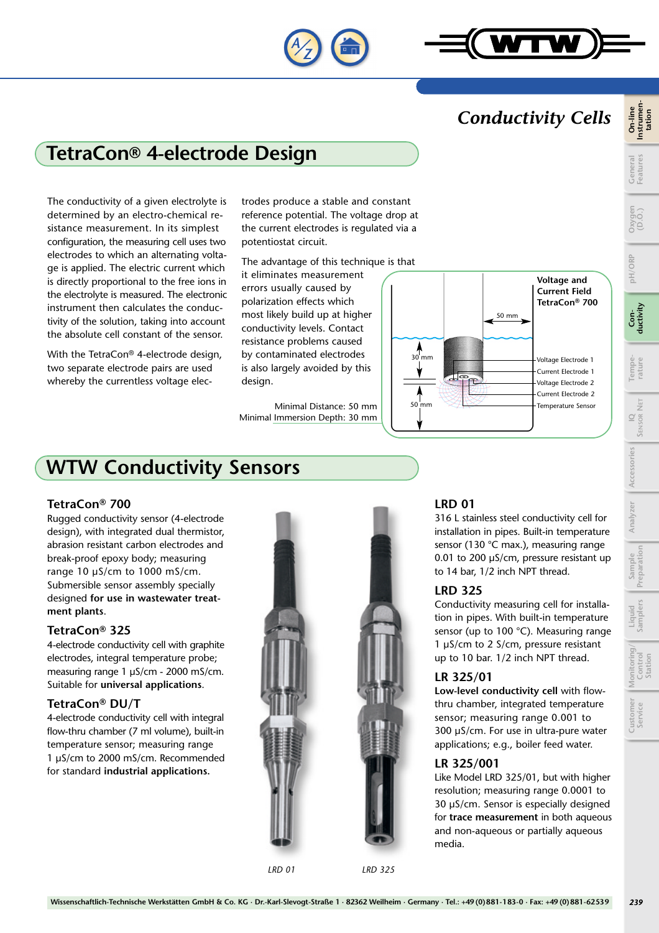

### *Conductivity Cells*

## **TetraCon® 4-electrode Design**

The conductivity of a given electrolyte is determined by an electro-chemical resistance measurement. In its simplest configuration, the measuring cell uses two electrodes to which an alternating voltage is applied. The electric current which is directly proportional to the free ions in the electrolyte is measured. The electronic instrument then calculates the conductivity of the solution, taking into account the absolute cell constant of the sensor.

With the TetraCon® 4-electrode design, two separate electrode pairs are used whereby the currentless voltage elec-

trodes produce a stable and constant reference potential. The voltage drop at the current electrodes is regulated via a potentiostat circuit.

The advantage of this technique is that

it eliminates measurement errors usually caused by polarization effects which most likely build up at higher conductivity levels. Contact resistance problems caused by contaminated electrodes is also largely avoided by this design.

Minimal Distance: 50 mm Minimal Immersion Depth: 30 mm



## **WTW Conductivity Sensors**

#### **TetraCon® 700**

Rugged conductivity sensor (4-electrode design), with integrated dual thermistor, abrasion resistant carbon electrodes and break-proof epoxy body; measuring range 10 µS/cm to 1000 mS/cm. Submersible sensor assembly specially designed **for use in wastewater treatment plants**.

#### **TetraCon® 325**

4-electrode conductivity cell with graphite electrodes, integral temperature probe; measuring range 1 µS/cm - 2000 mS/cm. Suitable for **universal applications**.

#### **TetraCon® DU/T**

4-electrode conductivity cell with integral flow-thru chamber (7 ml volume), built-in temperature sensor; measuring range 1 µS/cm to 2000 mS/cm. Recommended for standard **industrial applications.**



#### **LRD 01**

316 L stainless steel conductivity cell for installation in pipes. Built-in temperature sensor (130 °C max.), measuring range 0.01 to 200 µS/cm, pressure resistant up to 14 bar, 1/2 inch NPT thread.

#### **LRD 325**

Conductivity measuring cell for installation in pipes. With built-in temperature sensor (up to 100 °C). Measuring range 1 µS/cm to 2 S/cm, pressure resistant up to 10 bar. 1/2 inch NPT thread.

#### **LR 325/01**

**Low-level conductivity cell** with flowthru chamber, integrated temperature sensor; measuring range 0.001 to 300 µS/cm. For use in ultra-pure water applications; e.g., boiler feed water.

#### **LR 325/001**

Like Model LRD 325/01, but with higher resolution; measuring range 0.0001 to 30 µS/cm. Sensor is especially designed for **trace measurement** in both aqueous and non-aqueous or partially aqueous media.

**tation**

**pH/ORP**

**Conductivity**

**Tempe-**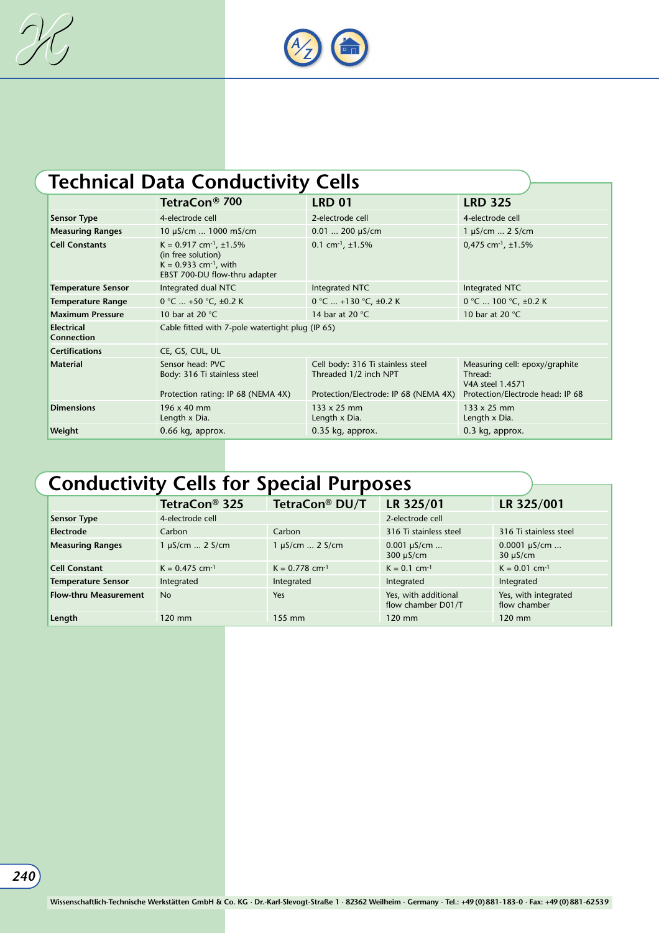



# **Technical Data Conductivity Cells**

|                                 | TetraCon <sup>®</sup> 700                                                                                                          | <b>LRD 01</b>                                                                                       | <b>LRD 325</b>                                                                                    |  |  |
|---------------------------------|------------------------------------------------------------------------------------------------------------------------------------|-----------------------------------------------------------------------------------------------------|---------------------------------------------------------------------------------------------------|--|--|
| <b>Sensor Type</b>              | 4-electrode cell                                                                                                                   | 2-electrode cell                                                                                    | 4-electrode cell                                                                                  |  |  |
| <b>Measuring Ranges</b>         | 10 µS/cm  1000 mS/cm                                                                                                               | $0.01$ 200 µS/cm                                                                                    | $1 \mu S/cm$ 2 S/cm                                                                               |  |  |
| <b>Cell Constants</b>           | $K = 0.917$ cm <sup>-1</sup> , ±1.5%<br>(in free solution)<br>$K = 0.933$ cm <sup>-1</sup> , with<br>EBST 700-DU flow-thru adapter | 0.1 cm $^{-1}$ , ±1.5%                                                                              | 0,475 cm $^{-1}$ , ±1.5%                                                                          |  |  |
| <b>Temperature Sensor</b>       | Integrated dual NTC                                                                                                                | Integrated NTC                                                                                      | Integrated NTC                                                                                    |  |  |
| <b>Temperature Range</b>        | $0 °C  +50 °C, \pm 0.2 K$                                                                                                          | 0 °C  +130 °C, $\pm$ 0.2 K                                                                          | 0 °C  100 °C, ±0.2 K                                                                              |  |  |
| <b>Maximum Pressure</b>         | 10 bar at 20 $°C$                                                                                                                  | 14 bar at 20 $\degree$ C                                                                            | 10 bar at 20 °C                                                                                   |  |  |
| <b>Electrical</b><br>Connection | Cable fitted with 7-pole watertight plug (IP 65)                                                                                   |                                                                                                     |                                                                                                   |  |  |
| <b>Certifications</b>           | CE, GS, CUL, UL                                                                                                                    |                                                                                                     |                                                                                                   |  |  |
| <b>Material</b>                 | Sensor head: PVC<br>Body: 316 Ti stainless steel<br>Protection rating: IP 68 (NEMA 4X)                                             | Cell body: 316 Ti stainless steel<br>Threaded 1/2 inch NPT<br>Protection/Electrode: IP 68 (NEMA 4X) | Measuring cell: epoxy/graphite<br>Thread:<br>V4A steel 1.4571<br>Protection/Electrode head: IP 68 |  |  |
| <b>Dimensions</b>               | $196 \times 40$ mm<br>Length x Dia.                                                                                                | $133 \times 25$ mm<br>Length x Dia.                                                                 | 133 x 25 mm<br>Length x Dia.                                                                      |  |  |
| Weight                          | 0.66 kg, approx.                                                                                                                   | 0.35 kg, approx.                                                                                    | 0.3 kg, approx.                                                                                   |  |  |

# **Conductivity Cells for Special Purposes**

|                              | TetraCon <sup>®</sup> 325    | TetraCon® DU/T               | LR 325/01                                  | LR 325/001                           |
|------------------------------|------------------------------|------------------------------|--------------------------------------------|--------------------------------------|
| <b>Sensor Type</b>           | 4-electrode cell             |                              | 2-electrode cell                           |                                      |
| <b>Electrode</b>             | Carbon                       | Carbon                       | 316 Ti stainless steel                     | 316 Ti stainless steel               |
| <b>Measuring Ranges</b>      | $1 \mu S/cm$ 2 $S/cm$        | $1 \mu S/cm$ 2 $S/cm$        | $0.001 \mu S/cm$<br>$300 \mu S/cm$         | $0.0001 \mu S/cm$<br>$30 \mu S/cm$   |
| <b>Cell Constant</b>         | $K = 0.475$ cm <sup>-1</sup> | $K = 0.778$ cm <sup>-1</sup> | $K = 0.1$ cm <sup>-1</sup>                 | $K = 0.01$ cm <sup>-1</sup>          |
| <b>Temperature Sensor</b>    | Integrated                   | Integrated                   | Integrated                                 | Integrated                           |
| <b>Flow-thru Measurement</b> | N <sub>o</sub>               | Yes                          | Yes, with additional<br>flow chamber D01/T | Yes, with integrated<br>flow chamber |
| Length                       | $120$ mm                     | 155 mm                       | $120$ mm                                   | $120 \text{ mm}$                     |